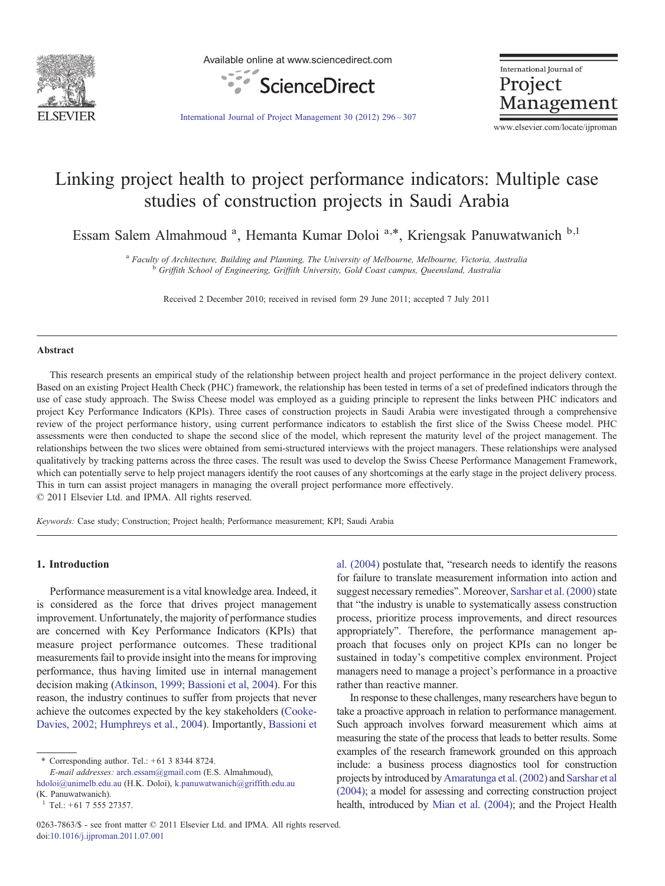

Available online at www.sciencedirect.com



International Journal of Project Management

[International Journal of Project Management 30 \(2012\) 296](http://dx.doi.org/10.1016/j.ijproman.2011.07.001)–307

www.elsevier.com/locate/ijproman

## Linking project health to project performance indicators: Multiple case studies of construction projects in Saudi Arabia

Essam Salem Almahmoud<sup>a</sup>, Hemanta Kumar Doloi<sup>a,\*</sup>, Kriengsak Panuwatwanich<sup>b,1</sup>

<sup>a</sup> Faculty of Architecture, Building and Planning, The University of Melbourne, Melbourne, Victoria, Australia b Griffith School of Engineering, Griffith University, Gold Coast campus, Queensland, Australia

Received 2 December 2010; received in revised form 29 June 2011; accepted 7 July 2011

#### Abstract

This research presents an empirical study of the relationship between project health and project performance in the project delivery context. Based on an existing Project Health Check (PHC) framework, the relationship has been tested in terms of a set of predefined indicators through the use of case study approach. The Swiss Cheese model was employed as a guiding principle to represent the links between PHC indicators and project Key Performance Indicators (KPIs). Three cases of construction projects in Saudi Arabia were investigated through a comprehensive review of the project performance history, using current performance indicators to establish the first slice of the Swiss Cheese model. PHC assessments were then conducted to shape the second slice of the model, which represent the maturity level of the project management. The relationships between the two slices were obtained from semi-structured interviews with the project managers. These relationships were analysed qualitatively by tracking patterns across the three cases. The result was used to develop the Swiss Cheese Performance Management Framework, which can potentially serve to help project managers identify the root causes of any shortcomings at the early stage in the project delivery process. This in turn can assist project managers in managing the overall project performance more effectively. © 2011 Elsevier Ltd. and IPMA. All rights reserved.

Keywords: Case study; Construction; Project health; Performance measurement; KPI; Saudi Arabia

### 1. Introduction

Performance measurement is a vital knowledge area. Indeed, it is considered as the force that drives project management improvement. Unfortunately, the majority of performance studies are concerned with Key Performance Indicators (KPIs) that measure project performance outcomes. These traditional measurements fail to provide insight into the means for improving performance, thus having limited use in internal management decision making ([Atkinson, 1999; Bassioni et al, 2004](#page--1-0)). For this reason, the industry continues to suffer from projects that never achieve the outcomes expected by the key stakeholders [\(Cooke-](#page--1-0)[Davies, 2002; Humphreys et al., 2004\)](#page--1-0). Importantly, [Bassioni et](#page--1-0) [al. \(2004\)](#page--1-0) postulate that, "research needs to identify the reasons for failure to translate measurement information into action and suggest necessary remedies". Moreover, [Sarshar et al. \(2000\)](#page--1-0) state that "the industry is unable to systematically assess construction process, prioritize process improvements, and direct resources appropriately". Therefore, the performance management approach that focuses only on project KPIs can no longer be sustained in today's competitive complex environment. Project managers need to manage a project's performance in a proactive rather than reactive manner.

In response to these challenges, many researchers have begun to take a proactive approach in relation to performance management. Such approach involves forward measurement which aims at measuring the state of the process that leads to better results. Some examples of the research framework grounded on this approach include: a business process diagnostics tool for construction projects by introduced by [Amaratunga et al. \(2002\)](#page--1-0) and [Sarshar et al](#page--1-0) [\(2004\);](#page--1-0) a model for assessing and correcting construction project health, introduced by [Mian et al. \(2004\)](#page--1-0); and the Project Health

 $*$  Corresponding author. Tel.:  $+61$  3 8344 8724.

E-mail addresses: [arch.essam@gmail.com](mailto:arch.essam@gmail.com) (E.S. Almahmoud), [hdoloi@unimelb.edu.au](mailto:hdoloi@unimelb.edu.au) (H.K. Doloi), [k.panuwatwanich@griffith.edu.au](mailto:k.panuwatwanich@griffith.edu.au) (K. Panuwatwanich).

 $1$  Tel.: +61 7 555 27357.

<sup>0263-7863/\$ -</sup> see front matter © 2011 Elsevier Ltd. and IPMA. All rights reserved. doi:[10.1016/j.ijproman.2011.07.001](http://dx.doi.org/10.1016/j.ijproman.2011.07.001)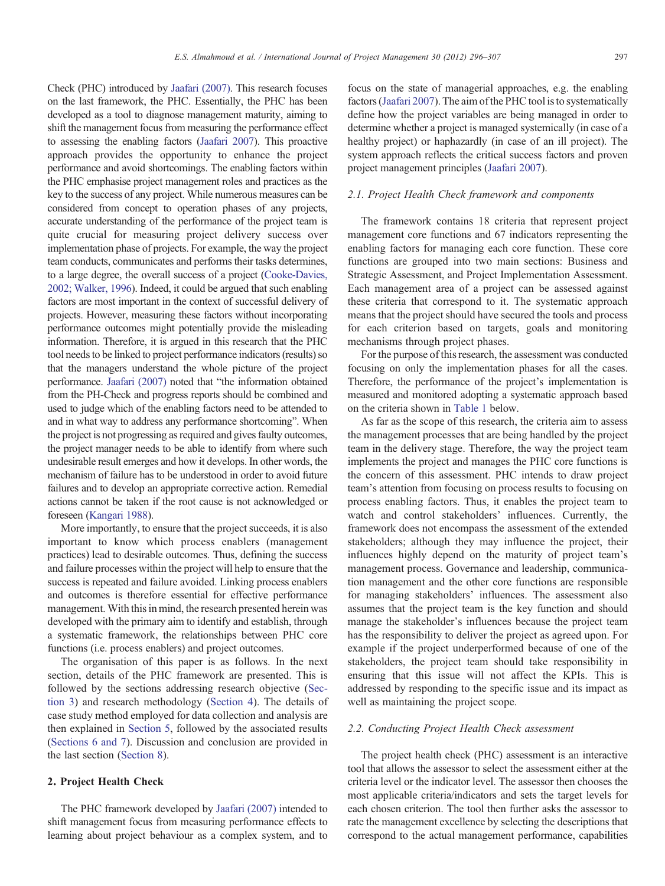Check (PHC) introduced by [Jaafari \(2007\)](#page--1-0). This research focuses on the last framework, the PHC. Essentially, the PHC has been developed as a tool to diagnose management maturity, aiming to shift the management focus from measuring the performance effect to assessing the enabling factors [\(Jaafari 2007\)](#page--1-0). This proactive approach provides the opportunity to enhance the project performance and avoid shortcomings. The enabling factors within the PHC emphasise project management roles and practices as the key to the success of any project. While numerous measures can be considered from concept to operation phases of any projects, accurate understanding of the performance of the project team is quite crucial for measuring project delivery success over implementation phase of projects. For example, the way the project team conducts, communicates and performs their tasks determines, to a large degree, the overall success of a project ([Cooke-Davies,](#page--1-0) [2002; Walker, 1996\)](#page--1-0). Indeed, it could be argued that such enabling factors are most important in the context of successful delivery of projects. However, measuring these factors without incorporating performance outcomes might potentially provide the misleading information. Therefore, it is argued in this research that the PHC tool needs to be linked to project performance indicators (results) so that the managers understand the whole picture of the project performance. [Jaafari \(2007\)](#page--1-0) noted that "the information obtained from the PH-Check and progress reports should be combined and used to judge which of the enabling factors need to be attended to and in what way to address any performance shortcoming". When the project is not progressing as required and gives faulty outcomes, the project manager needs to be able to identify from where such undesirable result emerges and how it develops. In other words, the mechanism of failure has to be understood in order to avoid future failures and to develop an appropriate corrective action. Remedial actions cannot be taken if the root cause is not acknowledged or foreseen [\(Kangari 1988](#page--1-0)).

More importantly, to ensure that the project succeeds, it is also important to know which process enablers (management practices) lead to desirable outcomes. Thus, defining the success and failure processes within the project will help to ensure that the success is repeated and failure avoided. Linking process enablers and outcomes is therefore essential for effective performance management. With this in mind, the research presented herein was developed with the primary aim to identify and establish, through a systematic framework, the relationships between PHC core functions (i.e. process enablers) and project outcomes.

The organisation of this paper is as follows. In the next section, details of the PHC framework are presented. This is followed by the sections addressing research objective [\(Sec](#page--1-0)[tion 3\)](#page--1-0) and research methodology [\(Section 4\)](#page--1-0). The details of case study method employed for data collection and analysis are then explained in [Section 5,](#page--1-0) followed by the associated results ([Sections 6 and 7](#page--1-0)). Discussion and conclusion are provided in the last section [\(Section 8\)](#page--1-0).

### 2. Project Health Check

The PHC framework developed by [Jaafari \(2007\)](#page--1-0) intended to shift management focus from measuring performance effects to learning about project behaviour as a complex system, and to focus on the state of managerial approaches, e.g. the enabling factors [\(Jaafari 2007](#page--1-0)). The aim of the PHC tool is to systematically define how the project variables are being managed in order to determine whether a project is managed systemically (in case of a healthy project) or haphazardly (in case of an ill project). The system approach reflects the critical success factors and proven project management principles [\(Jaafari 2007\)](#page--1-0).

#### 2.1. Project Health Check framework and components

The framework contains 18 criteria that represent project management core functions and 67 indicators representing the enabling factors for managing each core function. These core functions are grouped into two main sections: Business and Strategic Assessment, and Project Implementation Assessment. Each management area of a project can be assessed against these criteria that correspond to it. The systematic approach means that the project should have secured the tools and process for each criterion based on targets, goals and monitoring mechanisms through project phases.

For the purpose of this research, the assessment was conducted focusing on only the implementation phases for all the cases. Therefore, the performance of the project's implementation is measured and monitored adopting a systematic approach based on the criteria shown in [Table 1](#page--1-0) below.

As far as the scope of this research, the criteria aim to assess the management processes that are being handled by the project team in the delivery stage. Therefore, the way the project team implements the project and manages the PHC core functions is the concern of this assessment. PHC intends to draw project team's attention from focusing on process results to focusing on process enabling factors. Thus, it enables the project team to watch and control stakeholders' influences. Currently, the framework does not encompass the assessment of the extended stakeholders; although they may influence the project, their influences highly depend on the maturity of project team's management process. Governance and leadership, communication management and the other core functions are responsible for managing stakeholders' influences. The assessment also assumes that the project team is the key function and should manage the stakeholder's influences because the project team has the responsibility to deliver the project as agreed upon. For example if the project underperformed because of one of the stakeholders, the project team should take responsibility in ensuring that this issue will not affect the KPIs. This is addressed by responding to the specific issue and its impact as well as maintaining the project scope.

#### 2.2. Conducting Project Health Check assessment

The project health check (PHC) assessment is an interactive tool that allows the assessor to select the assessment either at the criteria level or the indicator level. The assessor then chooses the most applicable criteria/indicators and sets the target levels for each chosen criterion. The tool then further asks the assessor to rate the management excellence by selecting the descriptions that correspond to the actual management performance, capabilities